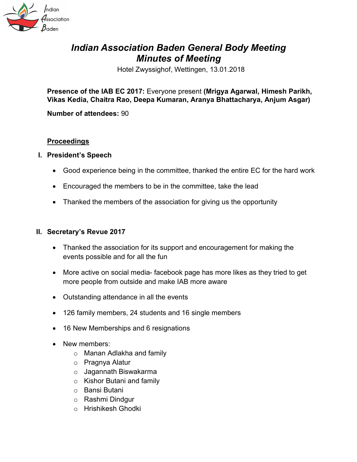

# *Indian Association Baden General Body Meeting Minutes of Meeting*

Hotel Zwyssighof, Wettingen, 13.01.2018

**Presence of the IAB EC 2017:** Everyone present **(Mrigya Agarwal, Himesh Parikh, Vikas Kedia, Chaitra Rao, Deepa Kumaran, Aranya Bhattacharya, Anjum Asgar)**

**Number of attendees:** 90

## **Proceedings**

- **I. President's Speech**
	- Good experience being in the committee, thanked the entire EC for the hard work
	- Encouraged the members to be in the committee, take the lead
	- Thanked the members of the association for giving us the opportunity

#### **II. Secretary's Revue 2017**

- Thanked the association for its support and encouragement for making the events possible and for all the fun
- More active on social media- facebook page has more likes as they tried to get more people from outside and make IAB more aware
- Outstanding attendance in all the events
- 126 family members, 24 students and 16 single members
- 16 New Memberships and 6 resignations
- New members:
	- o Manan Adlakha and family
	- o Pragnya Alatur
	- o Jagannath Biswakarma
	- o Kishor Butani and family
	- o Bansi Butani
	- o Rashmi Dindgur
	- o Hrishikesh Ghodki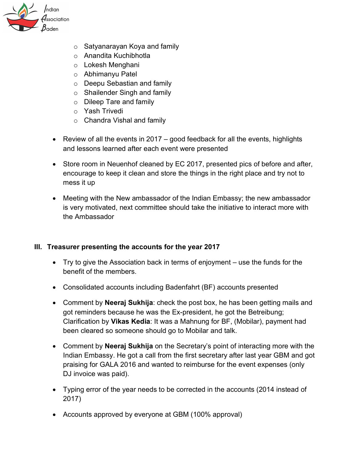

- o Satyanarayan Koya and family
- o Anandita Kuchibhotla
- o Lokesh Menghani
- o Abhimanyu Patel
- o Deepu Sebastian and family
- o Shailender Singh and family
- o Dileep Tare and family
- o Yash Trivedi
- o Chandra Vishal and family
- Review of all the events in 2017 good feedback for all the events, highlights and lessons learned after each event were presented
- Store room in Neuenhof cleaned by EC 2017, presented pics of before and after, encourage to keep it clean and store the things in the right place and try not to mess it up
- Meeting with the New ambassador of the Indian Embassy; the new ambassador is very motivated, next committee should take the initiative to interact more with the Ambassador

# **III. Treasurer presenting the accounts for the year 2017**

- Try to give the Association back in terms of enjoyment use the funds for the benefit of the members.
- Consolidated accounts including Badenfahrt (BF) accounts presented
- Comment by **Neeraj Sukhija**: check the post box, he has been getting mails and got reminders because he was the Ex-president, he got the Betreibung; Clarification by **Vikas Kedia**: It was a Mahnung for BF, (Mobilar), payment had been cleared so someone should go to Mobilar and talk.
- Comment by **Neeraj Sukhija** on the Secretary's point of interacting more with the Indian Embassy. He got a call from the first secretary after last year GBM and got praising for GALA 2016 and wanted to reimburse for the event expenses (only DJ invoice was paid).
- Typing error of the year needs to be corrected in the accounts (2014 instead of 2017)
- Accounts approved by everyone at GBM (100% approval)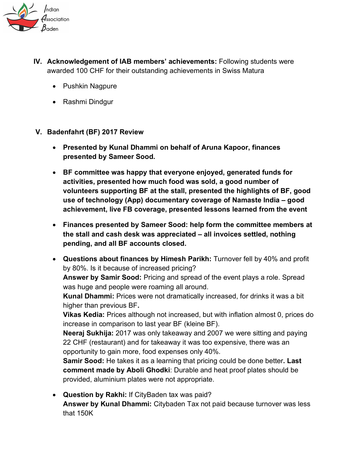

- **IV. Acknowledgement of IAB members' achievements:** Following students were awarded 100 CHF for their outstanding achievements in Swiss Matura
	- Pushkin Nagpure
	- Rashmi Dindgur

## **V. Badenfahrt (BF) 2017 Review**

- **Presented by Kunal Dhammi on behalf of Aruna Kapoor, finances presented by Sameer Sood.**
- **BF committee was happy that everyone enjoyed, generated funds for activities, presented how much food was sold, a good number of volunteers supporting BF at the stall, presented the highlights of BF, good use of technology (App) documentary coverage of Namaste India – good achievement, live FB coverage, presented lessons learned from the event**
- **Finances presented by Sameer Sood: help form the committee members at the stall and cash desk was appreciated – all invoices settled, nothing pending, and all BF accounts closed.**
- **Questions about finances by Himesh Parikh:** Turnover fell by 40% and profit by 80%. Is it because of increased pricing?

**Answer by Samir Sood:** Pricing and spread of the event plays a role. Spread was huge and people were roaming all around.

**Kunal Dhammi:** Prices were not dramatically increased, for drinks it was a bit higher than previous BF**.**

**Vikas Kedia:** Prices although not increased, but with inflation almost 0, prices do increase in comparison to last year BF (kleine BF).

**Neeraj Sukhija:** 2017 was only takeaway and 2007 we were sitting and paying 22 CHF (restaurant) and for takeaway it was too expensive, there was an opportunity to gain more, food expenses only 40%.

**Samir Sood:** He takes it as a learning that pricing could be done better**. Last comment made by Aboli Ghodki**: Durable and heat proof plates should be provided, aluminium plates were not appropriate.

• **Question by Rakhi:** If CityBaden tax was paid? **Answer by Kunal Dhammi:** Citybaden Tax not paid because turnover was less that 150K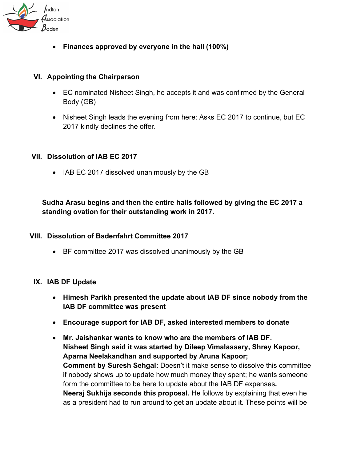

• **Finances approved by everyone in the hall (100%)**

#### **VI. Appointing the Chairperson**

- EC nominated Nisheet Singh, he accepts it and was confirmed by the General Body (GB)
- Nisheet Singh leads the evening from here: Asks EC 2017 to continue, but EC 2017 kindly declines the offer.

## **VII. Dissolution of IAB EC 2017**

• IAB EC 2017 dissolved unanimously by the GB

**Sudha Arasu begins and then the entire halls followed by giving the EC 2017 a standing ovation for their outstanding work in 2017.**

## **VIII. Dissolution of Badenfahrt Committee 2017**

• BF committee 2017 was dissolved unanimously by the GB

#### **IX. IAB DF Update**

- **Himesh Parikh presented the update about IAB DF since nobody from the IAB DF committee was present**
- **Encourage support for IAB DF, asked interested members to donate**
- **Mr. Jaishankar wants to know who are the members of IAB DF. Nisheet Singh said it was started by Dileep Vimalassery, Shrey Kapoor, Aparna Neelakandhan and supported by Aruna Kapoor; Comment by Suresh Sehgal:** Doesn't it make sense to dissolve this committee if nobody shows up to update how much money they spent; he wants someone form the committee to be here to update about the IAB DF expenses**. Neeraj Sukhija seconds this proposal.** He follows by explaining that even he as a president had to run around to get an update about it. These points will be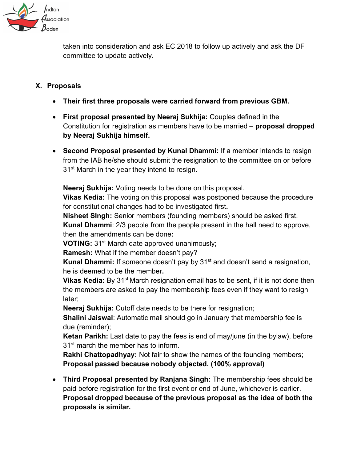

taken into consideration and ask EC 2018 to follow up actively and ask the DF committee to update actively.

## **X. Proposals**

- **Their first three proposals were carried forward from previous GBM.**
- **First proposal presented by Neeraj Sukhija:** Couples defined in the Constitution for registration as members have to be married – **proposal dropped by Neeraj Sukhija himself.**
- **Second Proposal presented by Kunal Dhammi:** If a member intends to resign from the IAB he/she should submit the resignation to the committee on or before 31<sup>st</sup> March in the year they intend to resign.

**Neeraj Sukhija:** Voting needs to be done on this proposal.

**Vikas Kedia:** The voting on this proposal was postponed because the procedure for constitutional changes had to be investigated first**.**

**Nisheet SIngh:** Senior members (founding members) should be asked first. **Kunal Dhammi**: 2/3 people from the people present in the hall need to approve, then the amendments can be done**:**

**VOTING:** 31<sup>st</sup> March date approved unanimously;

**Ramesh:** What if the member doesn't pay?

**Kunal Dhammi:** If someone doesn't pay by 31<sup>st</sup> and doesn't send a resignation, he is deemed to be the member**.**

**Vikas Kedia:** By 31<sup>st</sup> March resignation email has to be sent, if it is not done then the members are asked to pay the membership fees even if they want to resign later;

**Neeraj Sukhija:** Cutoff date needs to be there for resignation;

**Shalini Jaiswal**: Automatic mail should go in January that membership fee is due (reminder);

**Ketan Parikh:** Last date to pay the fees is end of may/june (in the bylaw), before 31<sup>st</sup> march the member has to inform.

**Rakhi Chattopadhyay:** Not fair to show the names of the founding members; **Proposal passed because nobody objected. (100% approval)**

• **Third Proposal presented by Ranjana Singh:** The membership fees should be paid before registration for the first event or end of June, whichever is earlier. **Proposal dropped because of the previous proposal as the idea of both the proposals is similar.**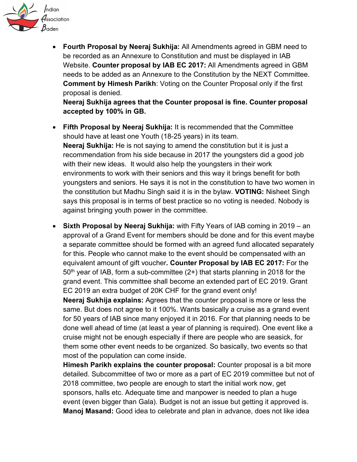

• **Fourth Proposal by Neeraj Sukhija:** All Amendments agreed in GBM need to be recorded as an Annexure to Constitution and must be displayed in IAB Website. **Counter proposal by IAB EC 2017:** All Amendments agreed in GBM needs to be added as an Annexure to the Constitution by the NEXT Committee. **Comment by Himesh Parikh**: Voting on the Counter Proposal only if the first proposal is denied.

**Neeraj Sukhija agrees that the Counter proposal is fine. Counter proposal accepted by 100% in GB.**

- **Fifth Proposal by Neeraj Sukhija:** It is recommended that the Committee should have at least one Youth (18-25 years) in its team. **Neeraj Sukhija:** He is not saying to amend the constitution but it is just a recommendation from his side because in 2017 the youngsters did a good job with their new ideas. It would also help the youngsters in their work environments to work with their seniors and this way it brings benefit for both youngsters and seniors. He says it is not in the constitution to have two women in the constitution but Madhu Singh said it is in the bylaw. **VOTING:** Nisheet Singh says this proposal is in terms of best practice so no voting is needed. Nobody is against bringing youth power in the committee.
- **Sixth Proposal by Neeraj Sukhija:** with Fifty Years of IAB coming in 2019 an approval of a Grand Event for members should be done and for this event maybe a separate committee should be formed with an agreed fund allocated separately for this. People who cannot make to the event should be compensated with an equivalent amount of gift voucher**. Counter Proposal by IAB EC 2017:** For the  $50<sup>th</sup>$  year of IAB, form a sub-committee (2+) that starts planning in 2018 for the grand event. This committee shall become an extended part of EC 2019. Grant EC 2019 an extra budget of 20K CHF for the grand event only!

**Neeraj Sukhija explains:** Agrees that the counter proposal is more or less the same. But does not agree to it 100%. Wants basically a cruise as a grand event for 50 years of IAB since many enjoyed it in 2016. For that planning needs to be done well ahead of time (at least a year of planning is required). One event like a cruise might not be enough especially if there are people who are seasick, for them some other event needs to be organized. So basically, two events so that most of the population can come inside.

**Himesh Parikh explains the counter proposal:** Counter proposal is a bit more detailed. Subcommittee of two or more as a part of EC 2019 committee but not of 2018 committee, two people are enough to start the initial work now, get sponsors, halls etc. Adequate time and manpower is needed to plan a huge event (even bigger than Gala). Budget is not an issue but getting it approved is. **Manoj Masand:** Good idea to celebrate and plan in advance, does not like idea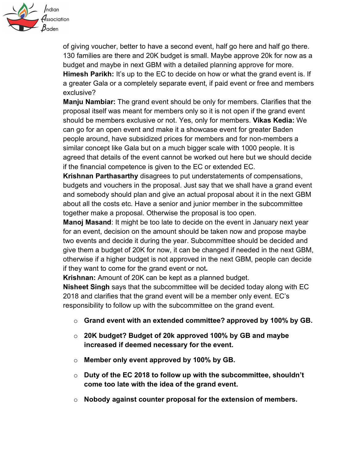

of giving voucher, better to have a second event, half go here and half go there. 130 families are there and 20K budget is small. Maybe approve 20k for now as a budget and maybe in next GBM with a detailed planning approve for more. **Himesh Parikh:** It's up to the EC to decide on how or what the grand event is. If a greater Gala or a completely separate event, if paid event or free and members exclusive?

**Manju Nambiar:** The grand event should be only for members. Clarifies that the proposal itself was meant for members only so it is not open if the grand event should be members exclusive or not. Yes, only for members. **Vikas Kedia:** We can go for an open event and make it a showcase event for greater Baden people around, have subsidized prices for members and for non-members a similar concept like Gala but on a much bigger scale with 1000 people. It is agreed that details of the event cannot be worked out here but we should decide if the financial competence is given to the EC or extended EC.

**Krishnan Parthasarthy** disagrees to put understatements of compensations, budgets and vouchers in the proposal. Just say that we shall have a grand event and somebody should plan and give an actual proposal about it in the next GBM about all the costs etc. Have a senior and junior member in the subcommittee together make a proposal. Otherwise the proposal is too open.

**Manoj Masand**: It might be too late to decide on the event in January next year for an event, decision on the amount should be taken now and propose maybe two events and decide it during the year. Subcommittee should be decided and give them a budget of 20K for now, it can be changed if needed in the next GBM, otherwise if a higher budget is not approved in the next GBM, people can decide if they want to come for the grand event or not**.**

**Krishnan:** Amount of 20K can be kept as a planned budget.

**Nisheet Singh** says that the subcommittee will be decided today along with EC 2018 and clarifies that the grand event will be a member only event. EC's responsibility to follow up with the subcommittee on the grand event.

- o **Grand event with an extended committee? approved by 100% by GB.**
- o **20K budget? Budget of 20k approved 100% by GB and maybe increased if deemed necessary for the event.**
- o **Member only event approved by 100% by GB.**
- o **Duty of the EC 2018 to follow up with the subcommittee, shouldn't come too late with the idea of the grand event.**
- o **Nobody against counter proposal for the extension of members.**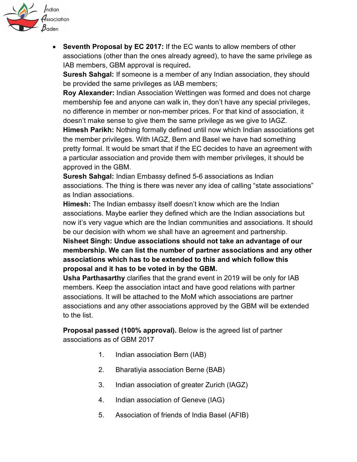

• **Seventh Proposal by EC 2017:** If the EC wants to allow members of other associations (other than the ones already agreed), to have the same privilege as IAB members, GBM approval is required**.**

**Suresh Sahgal:** If someone is a member of any Indian association, they should be provided the same privileges as IAB members;

**Roy Alexander:** Indian Association Wettingen was formed and does not charge membership fee and anyone can walk in, they don't have any special privileges, no difference in member or non-member prices. For that kind of association, it doesn't make sense to give them the same privilege as we give to IAGZ.

**Himesh Parikh:** Nothing formally defined until now which Indian associations get the member privileges. With IAGZ, Bern and Basel we have had something pretty formal. It would be smart that if the EC decides to have an agreement with a particular association and provide them with member privileges, it should be approved in the GBM.

**Suresh Sahgal:** Indian Embassy defined 5-6 associations as Indian associations. The thing is there was never any idea of calling "state associations" as Indian associations.

**Himesh:** The Indian embassy itself doesn't know which are the Indian associations. Maybe earlier they defined which are the Indian associations but now it's very vague which are the Indian communities and associations. It should be our decision with whom we shall have an agreement and partnership.

**Nisheet Singh: Undue associations should not take an advantage of our membership. We can list the number of partner associations and any other associations which has to be extended to this and which follow this proposal and it has to be voted in by the GBM.**

**Usha Parthasarthy** clarifies that the grand event in 2019 will be only for IAB members. Keep the association intact and have good relations with partner associations. It will be attached to the MoM which associations are partner associations and any other associations approved by the GBM will be extended to the list.

**Proposal passed (100% approval).** Below is the agreed list of partner associations as of GBM 2017

- 1. Indian association Bern (IAB)
- 2. Bharatiyia association Berne (BAB)
- 3. Indian association of greater Zurich (IAGZ)
- 4. Indian association of Geneve (IAG)
- 5. Association of friends of India Basel (AFIB)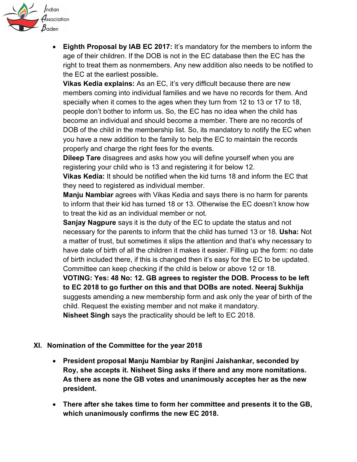

• **Eighth Proposal by IAB EC 2017:** It's mandatory for the members to inform the age of their children. If the DOB is not in the EC database then the EC has the right to treat them as nonmembers. Any new addition also needs to be notified to the EC at the earliest possible**.**

**Vikas Kedia explains:** As an EC, it's very difficult because there are new members coming into individual families and we have no records for them. And specially when it comes to the ages when they turn from 12 to 13 or 17 to 18, people don't bother to inform us. So, the EC has no idea when the child has become an individual and should become a member. There are no records of DOB of the child in the membership list. So, its mandatory to notify the EC when you have a new addition to the family to help the EC to maintain the records properly and charge the right fees for the events.

**Dileep Tare** disagrees and asks how you will define yourself when you are registering your child who is 13 and registering it for below 12.

**Vikas Kedia:** It should be notified when the kid turns 18 and inform the EC that they need to registered as individual member.

**Manju Nambiar** agrees with Vikas Kedia and says there is no harm for parents to inform that their kid has turned 18 or 13. Otherwise the EC doesn't know how to treat the kid as an individual member or not.

**Sanjay Nagpure** says it is the duty of the EC to update the status and not necessary for the parents to inform that the child has turned 13 or 18. **Usha:** Not a matter of trust, but sometimes it slips the attention and that's why necessary to have date of birth of all the children it makes it easier. Filling up the form: no date of birth included there, if this is changed then it's easy for the EC to be updated. Committee can keep checking if the child is below or above 12 or 18.

**VOTING: Yes: 48 No: 12. GB agrees to register the DOB. Process to be left to EC 2018 to go further on this and that DOBs are noted. Neeraj Sukhija** suggests amending a new membership form and ask only the year of birth of the child. Request the existing member and not make it mandatory.

**Nisheet Singh** says the practicality should be left to EC 2018.

#### **XI. Nomination of the Committee for the year 2018**

- **President proposal Manju Nambiar by Ranjini Jaishankar, seconded by Roy, she accepts it. Nisheet Sing asks if there and any more nomitations. As there as none the GB votes and unanimously acceptes her as the new president.**
- **There after she takes time to form her committee and presents it to the GB, which unanimously confirms the new EC 2018.**